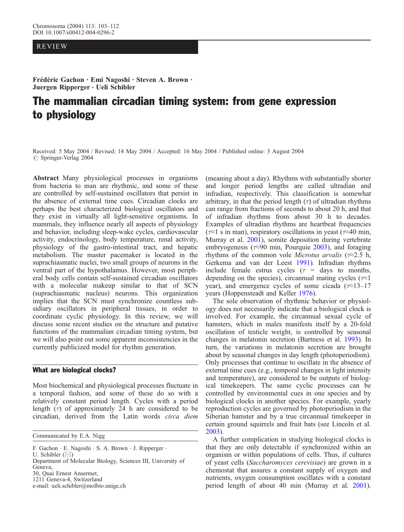# REVIEW

Frédéric Gachon . Emi Nagoshi . Steven A. Brown . Juergen Ripperger . Ueli Schibler

# The mammalian circadian timing system: from gene expression to physiology

Received: 5 May 2004 / Revised: 14 May 2004 / Accepted: 16 May 2004 / Published online: 3 August 2004 *#* Springer-Verlag 2004

Abstract Many physiological processes in organisms from bacteria to man are rhythmic, and some of these are controlled by self-sustained oscillators that persist in the absence of external time cues. Circadian clocks are perhaps the best characterized biological oscillators and they exist in virtually all light-sensitive organisms. In mammals, they influence nearly all aspects of physiology and behavior, including sleep-wake cycles, cardiovascular activity, endocrinology, body temperature, renal activity, physiology of the gastro-intestinal tract, and hepatic metabolism. The master pacemaker is located in the suprachiasmatic nuclei, two small groups of neurons in the ventral part of the hypothalamus. However, most peripheral body cells contain self-sustained circadian oscillators with a molecular makeup similar to that of SCN (suprachiasmatic nucleus) neurons. This organization implies that the SCN must synchronize countless subsidiary oscillators in peripheral tissues, in order to coordinate cyclic physiology. In this review, we will discuss some recent studies on the structure and putative functions of the mammalian circadian timing system, but we will also point out some apparent inconsistencies in the currently publicized model for rhythm generation.

## What are biological clocks?

Most biochemical and physiological processes fluctuate in a temporal fashion, and some of these do so with a relatively constant period length. Cycles with a period length  $(τ)$  of approximately 24 h are considered to be circadian, derived from the Latin words circa diem

Communicated by E.A. Nigg

U. Schibler (*\**)

Department of Molecular Biology, Sciences III, University of Geneva,

1211 Geneva-4, Switzerland

e-mail: ueli.schibler@molbio.unige.ch

(meaning about a day). Rhythms with substantially shorter and longer period lengths are called ultradian and infradian, respectively. This classification is somewhat arbitrary, in that the period length  $(\tau)$  of ultradian rhythms can range from fractions of seconds to about 20 h, and that of infradian rhythms from about 30 h to decades. Examples of ultradian rhythms are heartbeat frequencies  $(\tau \approx 1 \text{ s in man})$ , respiratory oscillations in yeast ( $\tau \approx 40 \text{ min}$ , Murray et al. [2001](#page-8-0)), somite deposition during vertebrate embryogenesis ( $\tau \approx 90$  min, Pourquie [2003\)](#page-8-0), and foraging rhythms of the common vole *Microtus arvalis* ( $\tau \approx 2.5$  h, Gerkema and van der Leest [1991](#page-8-0)). Infradian rhythms include female estrus cycles ( $\tau$  = days to months, depending on the species), circannual mating cycles ( $\tau \approx 1$ ) year), and emergence cycles of some cicada ( $\tau \approx 13-17$ years (Hoppensteadt and Keller [1976](#page-8-0)).

The sole observation of rhythmic behavior or physiology does not necessarily indicate that a biological clock is involved. For example, the circannual sexual cycle of hamsters, which in males manifests itself by a 20-fold oscillation of testicle weight, is controlled by seasonal changes in melatonin secretion (Bartness et al. [1993\)](#page-7-0). In turn, the variations in melatonin secretion are brought about by seasonal changes in day length (photoperiodism). Only processes that continue to oscillate in the absence of external time cues (e.g., temporal changes in light intensity and temperature), are considered to be outputs of biological timekeepers. The same cyclic processes can be controlled by environmental cues in one species and by biological clocks in another species. For example, yearly reproduction cycles are governed by photoperiodism in the Siberian hamster and by a true circannual timekeeper in certain ground squirrels and fruit bats (see Lincoln et al. [2003](#page-8-0)).

A further complication in studying biological clocks is that they are only detectable if synchronized within an organism or within populations of cells. Thus, if cultures of yeast cells (Saccharomyces cerevisiae) are grown in a chemostat that assures a constant supply of oxygen and nutrients, oxygen consumption oscillates with a constant period length of about 40 min (Murray et al. [2001](#page-8-0)).

F. Gachon . E. Nagoshi . S. A. Brown . J. Ripperger .

<sup>30,</sup> Quai Ernest Ansermet,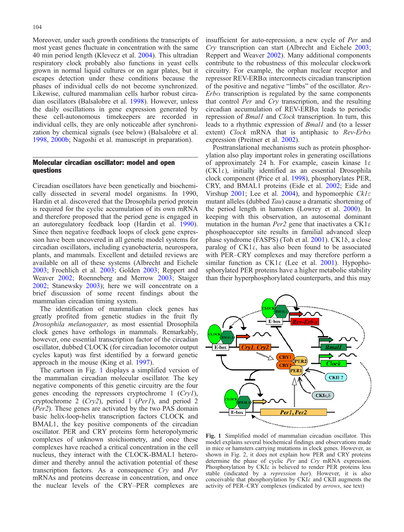<span id="page-1-0"></span>Moreover, under such growth conditions the transcripts of most yeast genes fluctuate in concentration with the same 40 min period length (Klevecz et al. [2004\)](#page-8-0). This ultradian respiratory clock probably also functions in yeast cells grown in normal liquid cultures or on agar plates, but it escapes detection under these conditions because the phases of individual cells do not become synchronized. Likewise, cultured mammalian cells harbor robust circadian oscillators (Balsalobre et al. [1998](#page-7-0)). However, unless the daily oscillations in gene expression generated by these cell-autonomous timekeepers are recorded in individual cells, they are only noticeable after synchronization by chemical signals (see below) (Balsalobre et al. [1998](#page-7-0), [2000b](#page-7-0); Nagoshi et al. manuscript in preparation).

## Molecular circadian oscillator: model and open questions

Circadian oscillators have been genetically and biochemically dissected in several model organisms. In 1990, Hardin et al. discovered that the Drosophila period protein is required for the cyclic accumulation of its own mRNA and therefore proposed that the period gene is engaged in an autoregulatory feedback loop (Hardin et al. [1990\)](#page-8-0). Since then negative feedback loops of clock gene expression have been uncovered in all genetic model systems for circadian oscillators, including cyanobacteria, neurospora, plants, and mammals. Excellent and detailed reviews are available on all of these systems (Albrecht and Eichele [2003](#page-7-0); Froehlich et al. [2003](#page-7-0); Golden [2003](#page-8-0); Reppert and Weaver [2002;](#page-8-0) Roenneberg and Merrow [2003;](#page-8-0) Staiger [2002](#page-9-0); Stanewsky [2003\)](#page-9-0); here we will concentrate on a brief discussion of some recent findings about the mammalian circadian timing system.

The identification of mammalian clock genes has greatly profited from genetic studies in the fruit fly Drosophila melanogaster, as most essential Drosophila clock genes have orthologs in mammals. Remarkably, however, one essential transcription factor of the circadian oscillator, dubbed CLOCK (for circadian locomotor output cycles kaput) was first identified by a forward genetic approach in the mouse (King et al. [1997\)](#page-8-0).

The cartoon in Fig. 1 displays a simplified version of the mammalian circadian molecular oscillator. The key negative components of this genetic circuitry are the four genes encoding the repressors cryptochrome 1 (Cry1), cryptochrome 2 (Cry2), period 1 (Per1), and period 2 (Per2). These genes are activated by the two PAS domain basic helix-loop-helix transcription factors CLOCK and BMAL1, the key positive components of the circadian oscillator. PER and CRY proteins form heteropolymeric complexes of unknown stoichiometry, and once these complexes have reached a critical concentration in the cell nucleus, they interact with the CLOCK-BMAL1 heterodimer and thereby annul the activation potential of these transcription factors. As a consequence Cry and Per mRNAs and proteins decrease in concentration, and once the nuclear levels of the CRY–PER complexes are

insufficient for auto-repression, a new cycle of Per and Cry transcription can start (Albrecht and Eichele [2003](#page-7-0); Reppert and Weaver [2002](#page-8-0)). Many additional components contribute to the robustness of this molecular clockwork circuitry. For example, the orphan nuclear receptor and  $re$ pressor REV-ERB $\alpha$  interconnects circadian transcription of the positive and negative "limbs" of the oscillator. Rev- $Erb\alpha$  transcription is regulated by the same components that control Per and Cry transcription, and the resulting circadian accumulation of  $REV-ERB\alpha$  leads to periodic repression of *Bmall* and *Clock* transcription. In turn, this leads to a rhythmic expression of Bmal1 and (to a lesser extent) Clock mRNA that is antiphasic to  $Rev-Erb\alpha$ expression (Preitner et al. [2002\)](#page-8-0).

Posttranslational mechanisms such as protein phosphorylation also play important roles in generating oscillations of approximately 24 h. For example, casein kinase  $1\varepsilon$ (CK1ε), initially identified as an essential Drosophila clock component (Price et al. [1998](#page-8-0)), phosphorylates PER, CRY, and BMAL1 proteins (Eide et al. [2002](#page-7-0); Eide and Virshup [2001;](#page-7-0) Lee et al. [2004\)](#page-8-0), and hypomorphic  $CkI\epsilon$ mutant alleles (dubbed *Tau*) cause a dramatic shortening of the period length in hamsters (Lowrey et al. [2000](#page-8-0)). In keeping with this observation, an autosomal dominant mutation in the human *Per2* gene that inactivates a CK1 $\varepsilon$ phosphoacceptor site results in familial advanced sleep phase syndrome (FASPS) (Toh et al. [2001](#page-9-0)). CK1δ, a close paralog of  $CK1\varepsilon$ , has also been found to be associated with PER–CRY complexes and may therefore perform a similar function as  $CK1\varepsilon$  (Lee et al. [2001\)](#page-8-0). Hypophosphorylated PER proteins have a higher metabolic stability than their hyperphosphorylated counterparts, and this may



Fig. 1 Simplified model of mammalian circadian oscillator. This model explains several biochemical findings and observations made in mice or hamsters carrying mutations in clock genes. However, as shown in Fig. 2, it does not explain how PER and CRY proteins determine the phase of cyclic Per and Cry mRNA expression. Phosphorylation by CKIε is believed to render PER proteins less stable (indicated by a *repression bar*). However, it is also conceivable that phosphorylation by CKIε and CKII augments the activity of PER–CRY complexes (indicated by arrows, see text)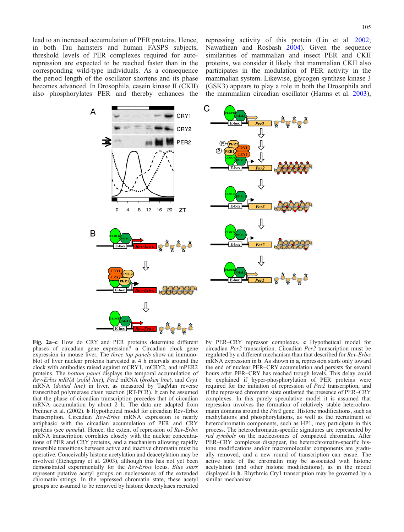<span id="page-2-0"></span>lead to an increased accumulation of PER proteins. Hence, in both Tau hamsters and human FASPS subjects, threshold levels of PER complexes required for autorepression are expected to be reached faster than in the corresponding wild-type individuals. As a consequence the period length of the oscillator shortens and its phase becomes advanced. In Drosophila, casein kinase II (CKII) also phosphorylates PER and thereby enhances the

repressing activity of this protein (Lin et al. [2002](#page-8-0); Nawathean and Rosbash [2004](#page-8-0)). Given the sequence similarities of mammalian and insect PER and CKII proteins, we consider it likely that mammalian CKII also participates in the modulation of PER activity in the mammalian system. Likewise, glycogen synthase kinase 3 (GSK3) appears to play a role in both the Drosophila and the mammalian circadian oscillator (Harms et al. [2003](#page-8-0)),



Fig. 2a*–*c How do CRY and PER proteins determine different phases of circadian gene expression? a Circadian clock gene expression in mouse liver. The three top panels show an immunoblot of liver nuclear proteins harvested at 4 h intervals around the clock with antibodies raised against mCRY1, mCRY2, and mPER2 proteins. The bottom panel displays the temporal accumulation of  $Rev-Erb\alpha$  mRNA (solid line),  $Per2$  mRNA (broken line), and Cryl mRNA (dotted line) in liver, as measured by TaqMan reverse transcribed polymerase chain reaction (RT-PCR). It can be assumed that the phase of circadian transcription precedes that of circadian mRNA accumulation by about 2 h. The data are adapted from Preitner et al. (2002). b Hypothetical model for circadian Rev-Erbα transcription. Circadian  $Rev-Erb\alpha$  mRNA expression is nearly antiphasic with the circadian accumulation of PER and CRY proteins (see *panela*). Hence, the extent of repression of  $Rev-Erb\alpha$ mRNA transcription correlates closely with the nuclear concentrations of PER and CRY proteins, and a mechanism allowing rapidly reversible transitions between active and inactive chromatin must be operative. Conceivably histone acetylation and deacetylation may be involved (Etchegaray et al. 2003), although this has not yet been demonstrated experimentally for the  $Rev-Erb\alpha$  locus. Blue stars represent putative acetyl groups on nucleosomes of the extended chromatin strings. In the repressed chromatin state, these acetyl groups are assumed to be removed by histone deacetylases recruited

by PER–CRY repressor complexes. c Hypothetical model for circadian Per2 transcription. Circadian Per2 transcription must be regulated by a different mechanism than that described for  $Rev-Erb\alpha$ mRNA expression in b. As shown in a, repression starts only toward the end of nuclear PER–CRY accumulation and persists for several hours after PER–CRY has reached trough levels. This delay could be explained if hyper-phosphorylation of PER proteins were required for the initiation of repression of Per2 transcription, and if the repressed chromatin state outlasted the presence of PER–CRY complexes. In this purely speculative model it is assumed that repression involves the formation of relatively stable heterochromatin domains around the Per2 gene. Histone modifications, such as methylations and phosphorylations, as well as the recruitment of heterochromatin components, such as HP1, may participate in this process. The heterochromatin-specific signatures are represented by red symbols on the nucleosomes of compacted chromatin. After PER–CRY complexes disappear, the heterochromatin-specific histone modifications and/or macromolecular components are gradually removed, and a new round of transcription can ensue. The active state of the chromatin may be associated with histone acetylation (and other histone modifications), as in the model displayed in b. Rhythmic Cry1 transcription may be governed by a similar mechanism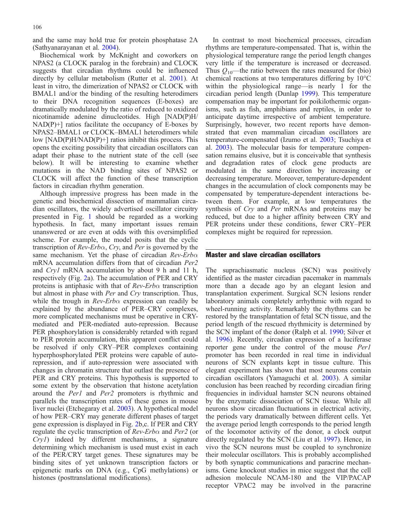and the same may hold true for protein phosphatase 2A (Sathyanarayanan et al. [2004](#page-8-0)).

Biochemical work by McKnight and coworkers on NPAS2 (a CLOCK paralog in the forebrain) and CLOCK suggests that circadian rhythms could be influenced directly by cellular metabolism (Rutter et al. [2001\)](#page-8-0). At least in vitro, the dimerization of NPAS2 or CLOCK with BMAL1 and/or the binding of the resulting heterodimers to their DNA recognition sequences (E-boxes) are dramatically modulated by the ratio of reduced to oxidized nicotinamide adenine dinucleotides. High [NAD(P)H/  $NAD(P)$ +] ratios facilitate the occupancy of E-boxes by NPAS2–BMAL1 or CLOCK–BMAL1 heterodimers while low  $[NAD(P)H/NAD(P)+]$  ratios inhibit this process. This opens the exciting possibility that circadian oscillators can adapt their phase to the nutrient state of the cell (see below). It will be interesting to examine whether mutations in the NAD binding sites of NPAS2 or CLOCK will affect the function of these transcription factors in circadian rhythm generation.

Although impressive progress has been made in the genetic and biochemical dissection of mammalian circadian oscillators, the widely advertised oscillator circuitry presented in Fig. [1](#page-1-0) should be regarded as a working hypothesis. In fact, many important issues remain unanswered or are even at odds with this oversimplified scheme. For example, the model posits that the cyclic transcription of  $Rev-Erb\alpha$ , Cry, and Per is governed by the same mechanism. Yet the phase of circadian  $Rev-Erb\alpha$ mRNA accumulation differs from that of circadian Per2 and Cry1 mRNA accumulation by about 9 h and 11 h, respectively (Fig. [2a](#page-2-0)). The accumulation of PER and CRY proteins is antiphasic with that of  $Rev-Erb\alpha$  transcription but almost in phase with *Per* and *Cry* transcription. Thus, while the trough in  $Rev-Erb\alpha$  expression can readily be explained by the abundance of PER–CRY complexes, more complicated mechanisms must be operative in CRYmediated and PER-mediated auto-repression. Because PER phosphorylation is considerably retarded with regard to PER protein accumulation, this apparent conflict could be resolved if only CRY–PER complexes containing hyperphosphorylated PER proteins were capable of autorepression, and if auto-repression were associated with changes in chromatin structure that outlast the presence of PER and CRY proteins. This hypothesis is supported to some extent by the observation that histone acetylation around the Per1 and Per2 promoters is rhythmic and parallels the transcription rates of these genes in mouse liver nuclei (Etchegaray et al. [2003\)](#page-7-0). A hypothetical model of how PER–CRY may generate different phases of target gene expression is displayed in Fig. [2](#page-2-0)b,c. If PER and CRY regulate the cyclic transcription of  $Rev-Erb\alpha$  and  $Per2$  (or Cry1) indeed by different mechanisms, a signature determining which mechanism is used must exist in each of the PER/CRY target genes. These signatures may be binding sites of yet unknown transcription factors or epigenetic marks on DNA (e.g., CpG methylations) or histones (posttranslational modifications).

In contrast to most biochemical processes, circadian rhythms are temperature-compensated. That is, within the physiological temperature range the period length changes very little if the temperature is increased or decreased. Thus  $Q_{10}$ —the ratio between the rates measured for (bio) chemical reactions at two temperatures differing by 10°C within the physiological range—is nearly 1 for the circadian period length (Dunlap [1999](#page-7-0)). This temperature compensation may be important for poikilothermic organisms, such as fish, amphibians and reptiles, in order to anticipate daytime irrespective of ambient temperature. Surprisingly, however, two recent reports have demonstrated that even mammalian circadian oscillators are temperature-compensated (Izumo et al. [2003](#page-8-0); Tsuchiya et al. [2003\)](#page-9-0). The molecular basis for temperature compensation remains elusive, but it is conceivable that synthesis and degradation rates of clock gene products are modulated in the same direction by increasing or decreasing temperature. Moreover, temperature-dependent changes in the accumulation of clock components may be compensated by temperature-dependent interactions between them. For example, at low temperatures the synthesis of Cry and Per mRNAs and proteins may be reduced, but due to a higher affinity between CRY and PER proteins under these conditions, fewer CRY–PER complexes might be required for repression.

#### Master and slave circadian oscillators

The suprachiasmatic nucleus (SCN) was positively identified as the master circadian pacemaker in mammals more than a decade ago by an elegant lesion and transplantation experiment. Surgical SCN lesions render laboratory animals completely arrhythmic with regard to wheel-running activity. Remarkably the rhythms can be restored by the transplantation of fetal SCN tissue, and the period length of the rescued rhythmicity is determined by the SCN implant of the donor (Ralph et al. [1990](#page-8-0); Silver et al. [1996\)](#page-9-0). Recently, circadian expression of a luciferase reporter gene under the control of the mouse Per1 promoter has been recorded in real time in individual neurons of SCN explants kept in tissue culture. This elegant experiment has shown that most neurons contain circadian oscillators (Yamaguchi et al. [2003\)](#page-9-0). A similar conclusion has been reached by recording circadian firing frequencies in individual hamster SCN neurons obtained by the enzymatic dissociation of SCN tissue. While all neurons show circadian fluctuations in electrical activity, the periods vary dramatically between different cells. Yet the average period length corresponds to the period length of the locomotor activity of the donor, a clock output directly regulated by the SCN (Liu et al. [1997\)](#page-8-0). Hence, in vivo the SCN neurons must be coupled to synchronize their molecular oscillators. This is probably accomplished by both synaptic communications and paracrine mechanisms. Gene knockout studies in mice suggest that the cell adhesion molecule NCAM-180 and the VIP/PACAP receptor VPAC2 may be involved in the paracrine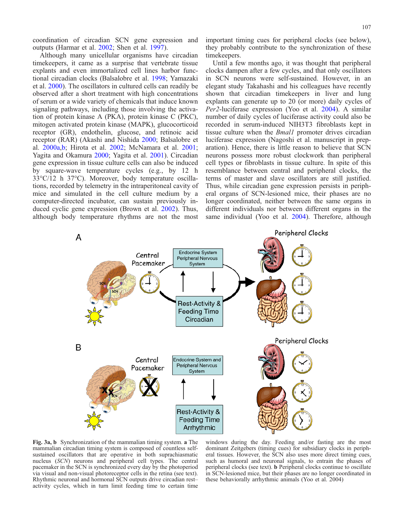<span id="page-4-0"></span>coordination of circadian SCN gene expression and outputs (Harmar et al. [2002;](#page-8-0) Shen et al. [1997\)](#page-9-0).

Although many unicellular organisms have circadian timekeepers, it came as a surprise that vertebrate tissue explants and even immortalized cell lines harbor functional circadian clocks (Balsalobre et al. [1998](#page-7-0); Yamazaki et al. [2000](#page-9-0)). The oscillators in cultured cells can readily be observed after a short treatment with high concentrations of serum or a wide variety of chemicals that induce known signaling pathways, including those involving the activation of protein kinase A (PKA), protein kinase C (PKC), mitogen activated protein kinase (MAPK), glucocorticoid receptor (GR), endothelin, glucose, and retinoic acid receptor (RAR) (Akashi and Nishida [2000](#page-7-0); Balsalobre et al. [2000a](#page-7-0),[b](#page-7-0); Hirota et al. [2002;](#page-8-0) McNamara et al. [2001](#page-8-0); Yagita and Okamura [2000](#page-9-0); Yagita et al. [2001](#page-9-0)). Circadian gene expression in tissue culture cells can also be induced by square-wave temperature cycles (e.g., by 12 h 33°C/12 h 37°C). Moreover, body temperature oscillations, recorded by telemetry in the intraperitoneal cavity of mice and simulated in the cell culture medium by a computer-directed incubator, can sustain previously induced cyclic gene expression (Brown et al. [2002\)](#page-7-0). Thus, although body temperature rhythms are not the most important timing cues for peripheral clocks (see below), they probably contribute to the synchronization of these timekeepers.

Until a few months ago, it was thought that peripheral clocks dampen after a few cycles, and that only oscillators in SCN neurons were self-sustained. However, in an elegant study Takahashi and his colleagues have recently shown that circadian timekeepers in liver and lung explants can generate up to 20 (or more) daily cycles of Per2-luciferase expression (Yoo et al. [2004\)](#page-9-0). A similar number of daily cycles of luciferase activity could also be recorded in serum-induced NIH3T3 fibroblasts kept in tissue culture when the *Bmall* promoter drives circadian luciferase expression (Nagoshi et al. manuscript in preparation). Hence, there is little reason to believe that SCN neurons possess more robust clockwork than peripheral cell types or fibroblasts in tissue culture. In spite of this resemblance between central and peripheral clocks, the terms of master and slave oscillators are still justified. Thus, while circadian gene expression persists in peripheral organs of SCN-lesioned mice, their phases are no longer coordinated, neither between the same organs in different individuals nor between different organs in the same individual (Yoo et al. [2004](#page-9-0)). Therefore, although



Fig. 3a, b Synchronization of the mammalian timing system. a The mammalian circadian timing system is composed of countless selfsustained oscillators that are operative in both suprachiasmatic nucleus (SCN) neurons and peripheral cell types. The central pacemaker in the SCN is synchronized every day by the photoperiod via visual and non-visual photoreceptor cells in the retina (see text). Rhythmic neuronal and hormonal SCN outputs drive circadian rest– activity cycles, which in turn limit feeding time to certain time

windows during the day. Feeding and/or fasting are the most dominant Zeitgebers (timing cues) for subsidiary clocks in peripheral tissues. However, the SCN also uses more direct timing cues, such as humoral and neuronal signals, to entrain the phases of peripheral clocks (see text). b Peripheral clocks continue to oscillate in SCN-lesioned mice, but their phases are no longer coordinated in these behaviorally arrhythmic animals (Yoo et al. 2004)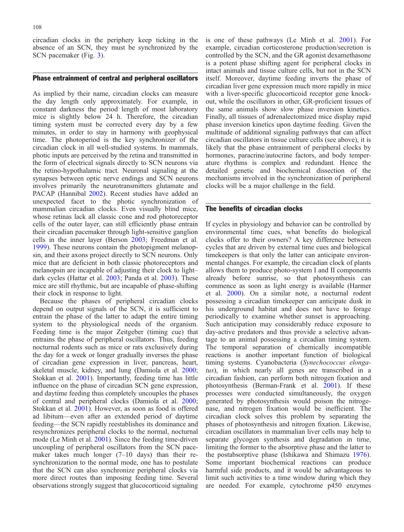circadian clocks in the periphery keep ticking in the absence of an SCN, they must be synchronized by the SCN pacemaker (Fig. [3\)](#page-4-0).

#### Phase entrainment of central and peripheral oscillators

As implied by their name, circadian clocks can measure the day length only approximately. For example, in constant darkness the period length of most laboratory mice is slightly below 24 h. Therefore, the circadian timing system must be corrected every day by a few minutes, in order to stay in harmony with geophysical time. The photoperiod is the key synchronizer of the circadian clock in all well-studied systems. In mammals, photic inputs are perceived by the retina and transmitted in the form of electrical signals directly to SCN neurons via the retino-hypothalamic tract. Neuronal signaling at the synapses between optic nerve endings and SCN neurons involves primarily the neurotransmitters glutamate and PACAP (Hannibal [2002](#page-8-0)). Recent studies have added an unexpected facet to the photic synchronization of mammalian circadian clocks. Even visually blind mice, whose retinas lack all classic cone and rod photoreceptor cells of the outer layer, can still efficiently phase entrain their circadian pacemaker through light-sensitive ganglion cells in the inner layer (Berson [2003;](#page-7-0) Freedman et al. [1999](#page-7-0)). These neurons contain the photopigment melanopsin, and their axons project directly to SCN neurons. Only mice that are deficient in both classic photoreceptors and melanopsin are incapable of adjusting their clock to light– dark cycles (Hattar et al. [2003](#page-8-0); Panda et al. [2003\)](#page-8-0). These mice are still rhythmic, but are incapable of phase-shifting their clock in response to light.

Because the phases of peripheral circadian clocks depend on output signals of the SCN, it is sufficient to entrain the phase of the latter to adapt the entire timing system to the physiological needs of the organism. Feeding time is the major Zeitgeber (timing cue) that entrains the phase of peripheral oscillators. Thus, feeding nocturnal rodents such as mice or rats exclusively during the day for a week or longer gradually inverses the phase of circadian gene expression in liver, pancreas, heart, skeletal muscle, kidney, and lung (Damiola et al. [2000](#page-7-0); Stokkan et al. [2001\)](#page-9-0). Importantly, feeding time has little influence on the phase of circadian SCN gene expression, and daytime feeding thus completely uncouples the phases of central and peripheral clocks (Damiola et al. [2000](#page-7-0); Stokkan et al. [2001](#page-9-0)). However, as soon as food is offered ad libitum—even after an extended period of daytime feeding—the SCN rapidly reestablishes its dominance and resynchronizes peripheral clocks to the normal, nocturnal mode (Le Minh et al. [2001](#page-8-0)). Since the feeding time-driven uncoupling of peripheral oscillators from the SCN pacemaker takes much longer (7–10 days) than their resynchronization to the normal mode, one has to postulate that the SCN can also synchronize peripheral clocks via more direct routes than imposing feeding time. Several observations strongly suggest that glucocorticoid signaling

is one of these pathways (Le Minh et al. [2001](#page-8-0)). For example, circadian corticosterone production/secretion is controlled by the SCN, and the GR agonist dexamethasone is a potent phase shifting agent for peripheral clocks in intact animals and tissue culture cells, but not in the SCN itself. Moreover, daytime feeding inverts the phase of circadian liver gene expression much more rapidly in mice with a liver-specific glucocorticoid receptor gene knockout, while the oscillators in other, GR-proficient tissues of the same animals show slow phase inversion kinetics. Finally, all tissues of adrenalectomized mice display rapid phase inversion kinetics upon daytime feeding. Given the multitude of additional signaling pathways that can affect circadian oscillators in tissue culture cells (see above), it is likely that the phase entrainment of peripheral clocks by hormones, paracrine/autocrine factors, and body temperature rhythms is complex and redundant. Hence the detailed genetic and biochemical dissection of the mechanisms involved in the synchronization of peripheral clocks will be a major challenge in the field.

## The benefits of circadian clocks

If cycles in physiology and behavior can be controlled by environmental time cues, what benefits do biological clocks offer to their owners? A key difference between cycles that are driven by external time cues and biological timekeepers is that only the latter can anticipate environmental changes. For example, the circadian clock of plants allows them to produce photo-system I and II components already before sunrise, so that photosynthesis can commence as soon as light energy is available (Harmer et al. [2000\)](#page-8-0). On a similar note, a nocturnal rodent possessing a circadian timekeeper can anticipate dusk in his underground habitat and does not have to forage periodically to examine whether sunset is approaching. Such anticipation may considerably reduce exposure to day-active predators and thus provide a selective advantage to an animal possessing a circadian timing system. The temporal separation of chemically incompatible reactions is another important function of biological timing systems. Cyanobacteria (Synechococcus elongatus), in which nearly all genes are transcribed in a circadian fashion, can perform both nitrogen fixation and photosynthesis (Berman-Frank et al. [2001\)](#page-7-0). If these processes were conducted simultaneously, the oxygen generated by photosynthesis would poison the nitrogenase, and nitrogen fixation would be inefficient. The circadian clock solves this problem by separating the phases of photosynthesis and nitrogen fixation. Likewise, circadian oscillators in mammalian liver cells may help to separate glycogen synthesis and degradation in time, limiting the former to the absorptive phase and the latter to the postabsorptive phase (Ishikawa and Shimazu [1976](#page-8-0)). Some important biochemical reactions can produce harmful side products, and it would be advantageous to limit such activities to a time window during which they are needed. For example, cytochrome p450 enzymes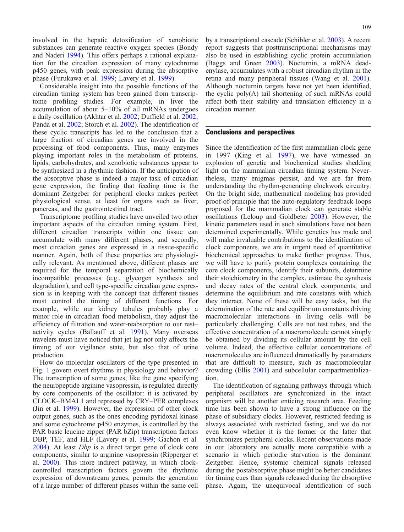involved in the hepatic detoxification of xenobiotic substances can generate reactive oxygen species (Bondy and Naderi [1994](#page-7-0)). This offers perhaps a rational explanation for the circadian expression of many cytochrome p450 genes, with peak expression during the absorptive phase (Furukawa et al. [1999](#page-8-0); Lavery et al. [1999](#page-8-0)).

Considerable insight into the possible functions of the circadian timing system has been gained from transcriptome profiling studies. For example, in liver the accumulation of about 5–10% of all mRNAs undergoes a daily oscillation (Akhtar et al. [2002;](#page-7-0) Duffield et al. [2002](#page-7-0); Panda et al. [2002;](#page-8-0) Storch et al. [2002](#page-9-0)). The identification of these cyclic transcripts has led to the conclusion that a large fraction of circadian genes are involved in the processing of food components. Thus, many enzymes playing important roles in the metabolism of proteins, lipids, carbohydrates, and xenobiotic substances appear to be synthesized in a rhythmic fashion. If the anticipation of the absorptive phase is indeed a major task of circadian gene expression, the finding that feeding time is the dominant Zeitgeber for peripheral clocks makes perfect physiological sense, at least for organs such as liver, pancreas, and the gastrointestinal tract.

Transcriptome profiling studies have unveiled two other important aspects of the circadian timing system. First, different circadian transcripts within one tissue can accumulate with many different phases, and secondly, most circadian genes are expressed in a tissue-specific manner. Again, both of these properties are physiologically relevant. As mentioned above, different phases are required for the temporal separation of biochemically incompatible processes (e.g., glycogen synthesis and degradation), and cell type-specific circadian gene expression is in keeping with the concept that different tissues must control the timing of different functions. For example, while our kidney tubules probably play a minor role in circadian food metabolism, they adjust the efficiency of filtration and water-reabsorption to our rest– activity cycles (Ballauff et al. [1991\)](#page-7-0). Many overseas travelers must have noticed that jet lag not only affects the timing of our vigilance state, but also that of urine production.

How do molecular oscillators of the type presented in Fig. [1](#page-1-0) govern overt rhythms in physiology and behavior? The transcription of some genes, like the gene specifying the neuropeptide arginine vasopressin, is regulated directly by core components of the oscillator: it is activated by CLOCK–BMAL1 and repressed by CRY–PER complexes (Jin et al. [1999](#page-8-0)). However, the expression of other clock output genes, such as the ones encoding pyridoxal kinase and some cytochrome p450 enzymes, is controlled by the PAR basic leucine zipper (PAR bZip) transcription factors DBP, TEF, and HLF (Lavery et al. [1999](#page-8-0); Gachon et al. [2004](#page-8-0)). At least Dbp is a direct target gene of clock core components, similar to arginine vasopressin (Ripperger et al. [2000](#page-8-0)). This more indirect pathway, in which clockcontrolled transcription factors govern the rhythmic expression of downstream genes, permits the generation of a large number of different phases within the same cell

by a transcriptional cascade (Schibler et al. [2003](#page-9-0)). A recent report suggests that posttranscriptional mechanisms may also be used in establishing cyclic protein accumulation (Baggs and Green [2003](#page-7-0)). Nocturnin, a mRNA deadenylase, accumulates with a robust circadian rhythm in the retina and many peripheral tissues (Wang et al. [2001](#page-9-0)). Although nocturnin targets have not yet been identified, the cyclic poly(A) tail shortening of such mRNAs could affect both their stability and translation efficiency in a circadian manner.

#### Conclusions and perspectives

Since the identification of the first mammalian clock gene in 1997 (King et al. [1997](#page-8-0)), we have witnessed an explosion of genetic and biochemical studies shedding light on the mammalian circadian timing system. Nevertheless, many enigmas persist, and we are far from understanding the rhythm-generating clockwork circuitry. On the bright side, mathematical modeling has provided proof-of-principle that the auto-regulatory feedback loops proposed for the mammalian clock can generate stable oscillations (Leloup and Goldbeter [2003\)](#page-8-0). However, the kinetic parameters used in such simulations have not been determined experimentally. While genetics has made and will make invaluable contributions to the identification of clock components, we are in urgent need of quantitative biochemical approaches to make further progress. Thus, we will have to purify protein complexes containing the core clock components, identify their subunits, determine their stoichiometry in the complex, estimate the synthesis and decay rates of the central clock components, and determine the equilibrium and rate constants with which they interact. None of these will be easy tasks, but the determination of the rate and equilibrium constants driving macromolecular interactions in living cells will be particularly challenging. Cells are not test tubes, and the effective concentration of a macromolecule cannot simply be obtained by dividing its cellular amount by the cell volume. Indeed, the effective cellular concentrations of macromolecules are influenced dramatically by parameters that are difficult to measure, such as macromolecular crowding (Ellis [2001\)](#page-7-0) and subcellular compartmentalization.

The identification of signaling pathways through which peripheral oscillators are synchronized in the intact organism will be another enticing research area. Feeding time has been shown to have a strong influence on the phase of subsidiary clocks. However, restricted feeding is always associated with restricted fasting, and we do not even know whether it is the former or the latter that synchronizes peripheral clocks. Recent observations made in our laboratory are actually more compatible with a scenario in which periodic starvation is the dominant Zeitgeber. Hence, systemic chemical signals released during the postabsorptive phase might be better candidates for timing cues than signals released during the absorptive phase. Again, the unequivocal identification of such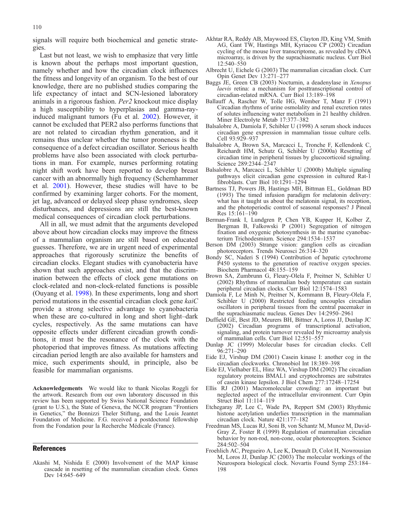<span id="page-7-0"></span>Last but not least, we wish to emphasize that very little is known about the perhaps most important question, namely whether and how the circadian clock influences the fitness and longevity of an organism. To the best of our knowledge, there are no published studies comparing the life expectancy of intact and SCN-lesioned laboratory animals in a rigorous fashion. Per2 knockout mice display a high susceptibility to hyperplasias and gamma-rayinduced malignant tumors (Fu et al. [2002](#page-8-0)). However, it cannot be excluded that PER2 also performs functions that are not related to circadian rhythm generation, and it remains thus unclear whether the tumor proneness is the consequence of a defect circadian oscillator. Serious health problems have also been associated with clock perturbations in man. For example, nurses performing rotating night shift work have been reported to develop breast cancer with an abnormally high frequency (Schernhammer et al. [2001\)](#page-9-0). However, these studies will have to be confirmed by examining larger cohorts. For the moment, jet lag, advanced or delayed sleep phase syndromes, sleep disturbances, and depressions are still the best-known medical consequences of circadian clock perturbations.

All in all, we must admit that the arguments developed above about how circadian clocks may improve the fitness of a mammalian organism are still based on educated guesses. Therefore, we are in urgent need of experimental approaches that rigorously scrutinize the benefits of circadian clocks. Elegant studies with cyanobacteria have shown that such approaches exist, and that the discrimination between the effects of clock gene mutations on clock-related and non-clock-related functions is possible (Ouyang et al. [1998\)](#page-8-0). In these experiments, long and short period mutations in the essential circadian clock gene kaiC provide a strong selective advantage to cyanobacteria when these are co-cultured in long and short light–dark cycles, respectively. As the same mutations can have opposite effects under different circadian growth conditions, it must be the resonance of the clock with the photoperiod that improves fitness. As mutations affecting circadian period length are also available for hamsters and mice, such experiments should, in principle, also be feasible for mammalian organisms.

Acknowledgements We would like to thank Nicolas Roggli for the artwork. Research from our own laboratory discussed in this review has been supported by Swiss National Science Foundation (grant to U.S.), the State of Geneva, the NCCR program "Frontiers in Genetics," the Bonnizzi Theler Stiftung, and the Louis Jeantet Foundation of Medicine. F.G. received a postdoctoral fellowship from the Fondation pour la Recherche Médicale (France).

#### References

Akashi M, Nishida E (2000) Involvement of the MAP kinase cascade in resetting of the mammalian circadian clock. Genes Dev 14:645–649

- Akhtar RA, Reddy AB, Maywood ES, Clayton JD, King VM, Smith AG, Gant TW, Hastings MH, Kyriacou CP (2002) Circadian cycling of the mouse liver transcriptome, as revealed by cDNA microarray, is driven by the suprachiasmatic nucleus. Curr Biol 12:540–550
- Albrecht U, Eichele G (2003) The mammalian circadian clock. Curr Opin Genet Dev 13:271–277
- Baggs JE, Green CB (2003) Nocturnin, a deadenylase in Xenopus laevis retina: a mechanism for posttranscriptional control of circadian-related mRNA. Curr Biol 13:189–198
- Ballauff A, Rascher W, Tolle HG, Wember T, Manz F (1991) Circadian rhythms of urine osmolality and renal excretion rates of solutes influencing water metabolism in 21 healthy children. Miner Electrolyte Metab 17:377–382
- Balsalobre A, Damiola F, Schibler U (1998) A serum shock induces circadian gene expression in mammalian tissue culture cells. Cell 93:929–937
- Balsalobre A, Brown SA, Marcacci L, Tronche F, Kellendonk C, Reichardt HM, Schutz G, Schibler U (2000a) Resetting of circadian time in peripheral tissues by glucocorticoid signaling. Science 289:2344–2347
- Balsalobre A, Marcacci L, Schibler U (2000b) Multiple signaling pathways elicit circadian gene expression in cultured Rat-1 fibroblasts. Curr Biol 10:1291–1294
- Bartness TJ, Powers JB, Hastings MH, Bittman EL, Goldman BD (1993) The timed infusion paradigm for melatonin delivery: what has it taught us about the melatonin signal, its reception, and the photoperiodic control of seasonal responses? J Pineal Res 15:161–190
- Berman-Frank I, Lundgren P, Chen YB, Kupper H, Kolber Z, Bergman B, Falkowski P (2001) Segregation of nitrogen fixation and oxygenic photosynthesis in the marine cyanobacterium Trichodesmium. Science 294:1534–1537
- Berson DM (2003) Strange vision: ganglion cells as circadian photoreceptors. Trends Neurosci 26:314–320
- Bondy SC, Naderi S (1994) Contribution of hepatic cytochrome P450 systems to the generation of reactive oxygen species. Biochem Pharmacol 48:155–159
- Brown SA, Zumbrunn G, Fleury-Olela F, Preitner N, Schibler U (2002) Rhythms of mammalian body temperature can sustain peripheral circadian clocks. Curr Biol 12:1574–1583
- Damiola F, Le Minh N, Preitner N, Kornmann B, Fleury-Olela F, Schibler U (2000) Restricted feeding uncouples circadian oscillators in peripheral tissues from the central pacemaker in the suprachiasmatic nucleus. Genes Dev 14:2950–2961
- Duffield GE, Best JD, Meurers BH, Bittner A, Loros JJ, Dunlap JC (2002) Circadian programs of transcriptional activation, signaling, and protein turnover revealed by microarray analysis of mammalian cells. Curr Biol 12:551–557
- Dunlap JC (1999) Molecular bases for circadian clocks. Cell 96:271–290
- Eide EJ, Virshup DM (2001) Casein kinase I: another cog in the circadian clockworks. Chronobiol Int 18:389–398
- Eide EJ, Vielhaber EL, Hinz WA, Virshup DM (2002) The circadian regulatory proteins BMAL1 and cryptochromes are substrates of casein kinase Iepsilon. J Biol Chem 277:17248–17254
- Ellis RJ (2001) Macromolecular crowding: an important but neglected aspect of the intracellular environment. Curr Opin Struct Biol 11:114–119
- Etchegaray JP, Lee C, Wade PA, Reppert SM (2003) Rhythmic histone acetylation underlies transcription in the mammalian circadian clock. Nature 421:177–182
- Freedman MS, Lucas RJ, Soni B, von Schantz M, Munoz M, David-Gray Z, Foster R (1999) Regulation of mammalian circadian behavior by non-rod, non-cone, ocular photoreceptors. Science 284:502–504
- Froehlich AC, Pregueiro A, Lee K, Denault D, Colot H, Nowrousian M, Loros JJ, Dunlap JC (2003) The molecular workings of the Neurospora biological clock. Novartis Found Symp 253:184– 198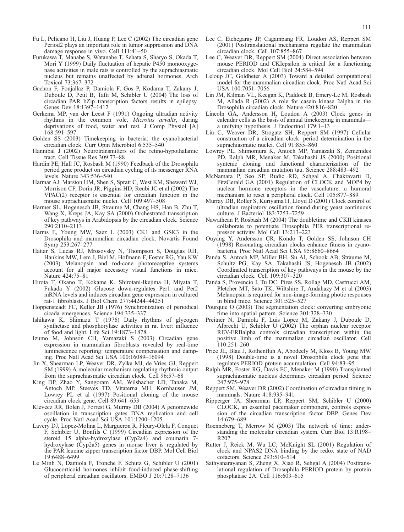- <span id="page-8-0"></span>Fu L, Pelicano H, Liu J, Huang P, Lee C (2002) The circadian gene Period2 plays an important role in tumor suppression and DNA damage response in vivo. Cell 111:41–50
- Furukawa T, Manabe S, Watanabe T, Sehata S, Sharyo S, Okada T, Mori Y (1999) Daily fluctuation of hepatic P450 monooxygenase activities in male rats is controlled by the suprachiasmatic nucleus but remains unaffected by adrenal hormones. Arch Toxicol 73:367–372
- Gachon F, Fonjallaz P, Damiola F, Gos P, Kodama T, Zakany J, Duboule D, Petit B, Tafti M, Schibler U (2004) The loss of circadian PAR bZip transcription factors results in epilepsy. Genes Dev 18:1397–1412
- Gerkema MP, van der Leest F (1991) Ongoing ultradian activity rhythms in the common vole, Microtus arvalis, during deprivations of food, water and rest. J Comp Physiol [A] 168:591–597
- Golden SS (2003) Timekeeping in bacteria: the cyanobacterial circadian clock. Curr Opin Microbiol 6:535–540
- Hannibal J (2002) Neurotransmitters of the retino-hypothalamic tract. Cell Tissue Res 309:73–88
- Hardin PE, Hall JC, Rosbash M (1990) Feedback of the Drosophila period gene product on circadian cycling of its messenger RNA levels. Nature 343:536–540
- Harmar AJ, Marston HM, Shen S, Spratt C, West KM, Sheward WJ, Morrison CF, Dorin JR, Piggins HD, Reubi JC et al (2002) The VPAC(2) receptor is essential for circadian function in the mouse suprachiasmatic nuclei. Cell 109:497–508
- Harmer SL, Hogenesch JB, Straume M, Chang HS, Han B, Zhu T, Wang X, Kreps JA, Kay SA (2000) Orchestrated transcription of key pathways in Arabidopsis by the circadian clock. Science 290:2110–2113
- Harms E, Young MW, Saez L (2003) CK1 and GSK3 in the Drosophila and mammalian circadian clock. Novartis Found Symp 253:267–277
- Hattar S, Lucas RJ, Mrosovsky N, Thompson S, Douglas RH, Hankins MW, Lem J, Biel M, Hofmann F, Foster RG, Yau KW (2003) Melanopsin and rod-cone photoreceptive systems account for all major accessory visual functions in mice. Nature 424:75–81
- Hirota T, Okano T, Kokame K, Shirotani-Ikejima H, Miyata T, Fukada Y (2002) Glucose down-regulates Per1 and Per2 mRNA levels and induces circadian gene expression in cultured rat-1 fibroblasts. J Biol Chem 277:44244–44251
- Hoppensteadt FC, Keller JB (1976) Synchronization of periodical cicada emergences. Science 194:335–337
- Ishikawa K, Shimazu T (1976) Daily rhythms of glycogen synthetase and phosphorylase activities in rat liver: influence of food and light. Life Sci 19:1873–1878
- Izumo M, Johnson CH, Yamazaki S (2003) Circadian gene expression in mammalian fibroblasts revealed by real-time luminescence reporting: temperature compensation and damping. Proc Natl Acad Sci USA 100:16089–16094
- Jin X, Shearman LP, Weaver DR, Zylka MJ, de Vries GJ, Reppert SM (1999) A molecular mechanism regulating rhythmic output from the suprachiasmatic circadian clock. Cell 96:57–68
- King DP, Zhao Y, Sangoram AM, Wilsbacher LD, Tanaka M, Antoch MP, Steeves TD, Vitaterna MH, Kornhauser JM, Lowrey PL et al (1997) Positional cloning of the mouse circadian clock gene. Cell 89:641–653
- Klevecz RR, Bolen J, Forrest G, Murray DB (2004) A genomewide oscillation in transcription gates DNA replication and cell cycle. Proc Natl Acad Sci USA 101:1200–1205
- Lavery DJ, Lopez-Molina L, Margueron R, Fleury-Olela F, Conquet F, Schibler U, Bonfils C (1999) Circadian expression of the steroid 15 alpha-hydroxylase (Cyp2a4) and coumarin 7 hydroxylase (Cyp2a5) genes in mouse liver is regulated by the PAR leucine zipper transcription factor DBP. Mol Cell Biol 19:6488–6499
- Le Minh N, Damiola F, Tronche F, Schutz G, Schibler U (2001) Glucocorticoid hormones inhibit food-induced phase-shifting of peripheral circadian oscillators. EMBO J 20:7128–7136
- Lee C, Etchegaray JP, Cagampang FR, Loudon AS, Reppert SM (2001) Posttranslational mechanisms regulate the mammalian circadian clock. Cell 107:855–867
- Lee C, Weaver DR, Reppert SM (2004) Direct association between mouse PERIOD and CKIepsilon is critical for a functioning circadian clock. Mol Cell Biol 24:584–594
- Leloup JC, Goldbeter A (2003) Toward a detailed computational model for the mammalian circadian clock. Proc Natl Acad Sci USA 100:7051–7056
- Lin JM, Kilman VL, Keegan K, Paddock B, Emery-Le M, Rosbash M, Allada R (2002) A role for casein kinase 2alpha in the Drosophila circadian clock. Nature 420:816–820
- Lincoln GA, Andersson H, Loudon A (2003) Clock genes in calendar cells as the basis of annual timekeeping in mammals a unifying hypothesis. J Endocrinol 179:1–13
- Liu C, Weaver DR, Strogatz SH, Reppert SM (1997) Cellular construction of a circadian clock: period determination in the suprachiasmatic nuclei. Cell 91:855–860
- Lowrey PL, Shimomura K, Antoch MP, Yamazaki S, Zemenides PD, Ralph MR, Menaker M, Takahashi JS (2000) Positional syntenic cloning and functional characterization of the mammalian circadian mutation tau. Science 288:483–492
- McNamara P, Seo SP, Rudic RD, Sehgal A, Chakravarti D, FitzGerald GA (2001) Regulation of CLOCK and MOP4 by nuclear hormone receptors in the vasculature: a humoral mechanism to reset a peripheral clock. Cell 105:877–889
- Murray DB, Roller S, Kuriyama H, Lloyd D (2001) Clock control of ultradian respiratory oscillation found during yeast continuous culture. J Bacteriol 183:7253–7259
- Nawathean P, Rosbash M (2004) The doubletime and CKII kinases collaborate to potentiate Drosophila PER transcriptional repressor activity. Mol Cell 13:213–223
- Ouyang Y, Andersson CR, Kondo T, Golden SS, Johnson CH (1998) Resonating circadian clocks enhance fitness in cyanobacteria. Proc Natl Acad Sci USA 95:8660–8664
- Panda S, Antoch MP, Miller BH, Su AI, Schook AB, Straume M, Schultz PG, Kay SA, Takahashi JS, Hogenesch JB (2002) Coordinated transcription of key pathways in the mouse by the circadian clock. Cell 109:307–320
- Panda S, Provencio I, Tu DC, Pires SS, Rollag MD, Castrucci AM, Pletcher MT, Sato TK, Wiltshire T, Andahazy M et al (2003) Melanopsin is required for non-image-forming photic responses in blind mice. Science 301:525–527
- Pourquie O (2003) The segmentation clock: converting embryonic time into spatial pattern. Science 301:328–330
- Preitner N, Damiola F, Luis Lopez M, Zakany J, Duboule D, Albrecht U, Schibler U (2002) The orphan nuclear receptor REV-ERBalpha controls circadian transcription within the positive limb of the mammalian circadian oscillator. Cell 110:251–260
- Price JL, Blau J, Rothenfluh A, Abodeely M, Kloss B, Young MW (1998) Double-time is a novel Drosophila clock gene that regulates PERIOD protein accumulation. Cell 94:83–95
- Ralph MR, Foster RG, Davis FC, Menaker M (1990) Transplanted suprachiasmatic nucleus determines circadian period. Science 247:975–978
- Reppert SM, Weaver DR (2002) Coordination of circadian timing in mammals. Nature 418:935–941
- Ripperger JA, Shearman LP, Reppert SM, Schibler U (2000) CLOCK, an essential pacemaker component, controls expression of the circadian transcription factor DBP. Genes Dev 14:679–689
- Roenneberg T, Merrow M (2003) The network of time: understanding the molecular circadian system. Curr Biol 13:R198– R207
- Rutter J, Reick M, Wu LC, McKnight SL (2001) Regulation of clock and NPAS2 DNA binding by the redox state of NAD cofactors. Science 293:510–514
- Sathyanarayanan S, Zheng X, Xiao R, Sehgal A (2004) Posttranslational regulation of Drosophila PERIOD protein by protein phosphatase 2A. Cell 116:603–615